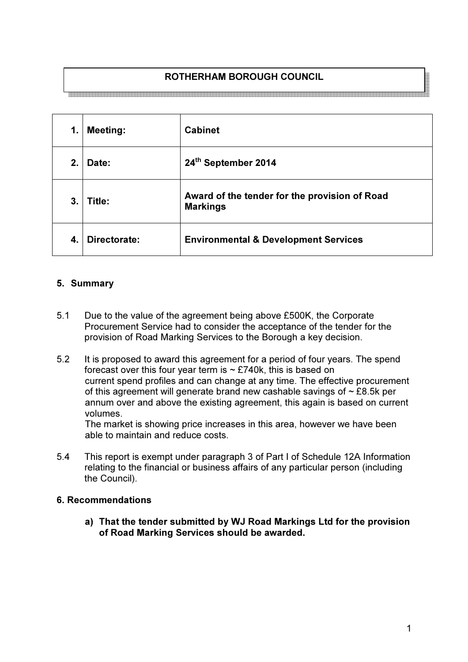# ROTHERHAM BOROUGH COUNCIL

<br>- ※ 중국경청경호중국 ※중국경청경주중국경주국경정교정부대정국경영교정정국경제대학교 총국경제정보통제정국경제공정교정

| 1.               | <b>Meeting:</b> | <b>Cabinet</b>                                                   |
|------------------|-----------------|------------------------------------------------------------------|
| 2.               | Date:           | 24th September 2014                                              |
| 3.               | Title:          | Award of the tender for the provision of Road<br><b>Markings</b> |
| $\boldsymbol{4}$ | Directorate:    | <b>Environmental &amp; Development Services</b>                  |

## 5. Summary

- 5.1 Due to the value of the agreement being above £500K, the Corporate Procurement Service had to consider the acceptance of the tender for the provision of Road Marking Services to the Borough a key decision.
- 5.2 It is proposed to award this agreement for a period of four years. The spend forecast over this four year term is  $\sim$  £740k, this is based on current spend profiles and can change at any time. The effective procurement of this agreement will generate brand new cashable savings of  $\sim$  £8.5k per annum over and above the existing agreement, this again is based on current volumes.

The market is showing price increases in this area, however we have been able to maintain and reduce costs.

5.4 This report is exempt under paragraph 3 of Part I of Schedule 12A Information relating to the financial or business affairs of any particular person (including the Council).

### 6. Recommendations

a) That the tender submitted by WJ Road Markings Ltd for the provision of Road Marking Services should be awarded.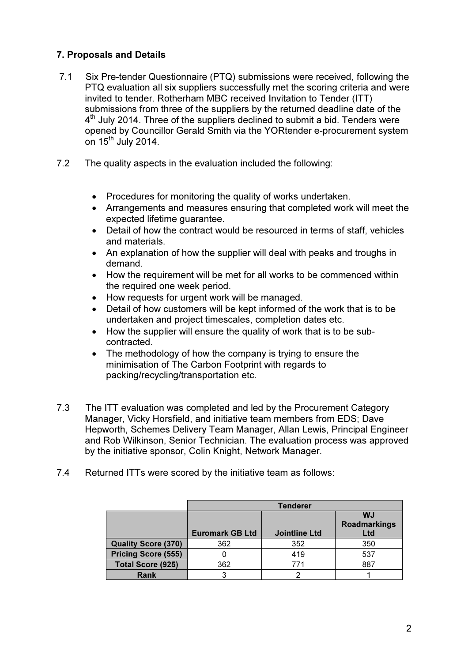# 7. Proposals and Details

- 7.1 Six Pre-tender Questionnaire (PTQ) submissions were received, following the PTQ evaluation all six suppliers successfully met the scoring criteria and were invited to tender. Rotherham MBC received Invitation to Tender (ITT) submissions from three of the suppliers by the returned deadline date of the 4<sup>th</sup> July 2014. Three of the suppliers declined to submit a bid. Tenders were opened by Councillor Gerald Smith via the YORtender e-procurement system on 15<sup>th</sup> July 2014.
- 7.2 The quality aspects in the evaluation included the following:
	- Procedures for monitoring the quality of works undertaken.
	- Arrangements and measures ensuring that completed work will meet the expected lifetime guarantee.
	- Detail of how the contract would be resourced in terms of staff, vehicles and materials.
	- An explanation of how the supplier will deal with peaks and troughs in demand.
	- How the requirement will be met for all works to be commenced within the required one week period.
	- How requests for urgent work will be managed.
	- Detail of how customers will be kept informed of the work that is to be undertaken and project timescales, completion dates etc.
	- How the supplier will ensure the quality of work that is to be subcontracted.
	- The methodology of how the company is trying to ensure the minimisation of The Carbon Footprint with regards to packing/recycling/transportation etc.
- 7.3 The ITT evaluation was completed and led by the Procurement Category Manager, Vicky Horsfield, and initiative team members from EDS; Dave Hepworth, Schemes Delivery Team Manager, Allan Lewis, Principal Engineer and Rob Wilkinson, Senior Technician. The evaluation process was approved by the initiative sponsor, Colin Knight, Network Manager.
- 7.4 Returned ITTs were scored by the initiative team as follows:

|                            | <b>Tenderer</b>        |                      |                                         |  |
|----------------------------|------------------------|----------------------|-----------------------------------------|--|
|                            | <b>Euromark GB Ltd</b> | <b>Jointline Ltd</b> | <b>WJ</b><br><b>Roadmarkings</b><br>Ltd |  |
| <b>Quality Score (370)</b> | 362                    | 352                  | 350                                     |  |
| <b>Pricing Score (555)</b> |                        | 419                  | 537                                     |  |
| <b>Total Score (925)</b>   | 362                    | 771                  | 887                                     |  |
| Rank                       |                        |                      |                                         |  |